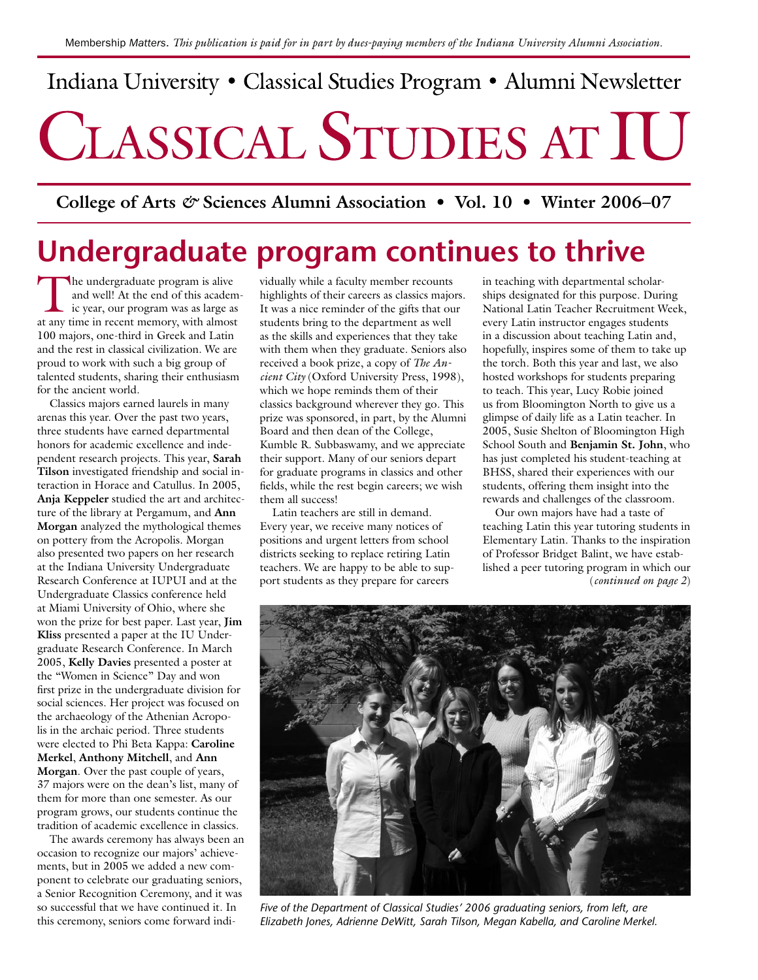# Indiana University · Classical Studies Program · Alumni Newsletter CLASSICAL STUDIES AT IU

**College of Arts** *&* **Sciences Alumni Association • Vol. 10 • Winter 2006–07**

# **Undergraduate program continues to thrive**

The undergraduate program is alive<br>
ic year, our program was as large as<br>
at any time in recent memory with almost and well! At the end of this academat any time in recent memory, with almost 100 majors, one-third in Greek and Latin and the rest in classical civilization. We are proud to work with such a big group of talented students, sharing their enthusiasm for the ancient world.

Classics majors earned laurels in many arenas this year. Over the past two years, three students have earned departmental honors for academic excellence and independent research projects. This year, **Sarah Tilson** investigated friendship and social interaction in Horace and Catullus. In 2005, **Anja Keppeler** studied the art and architecture of the library at Pergamum, and **Ann Morgan** analyzed the mythological themes on pottery from the Acropolis. Morgan also presented two papers on her research at the Indiana University Undergraduate Research Conference at IUPUI and at the Undergraduate Classics conference held at Miami University of Ohio, where she won the prize for best paper. Last year, **Jim Kliss** presented a paper at the IU Undergraduate Research Conference. In March 2005, **Kelly Davies** presented a poster at the "Women in Science" Day and won first prize in the undergraduate division for social sciences. Her project was focused on the archaeology of the Athenian Acropolis in the archaic period. Three students were elected to Phi Beta Kappa: **Caroline Merkel**, **Anthony Mitchell**, and **Ann Morgan**. Over the past couple of years, 37 majors were on the dean's list, many of them for more than one semester. As our program grows, our students continue the tradition of academic excellence in classics.

The awards ceremony has always been an occasion to recognize our majors' achievements, but in 2005 we added a new component to celebrate our graduating seniors, a Senior Recognition Ceremony, and it was so successful that we have continued it. In this ceremony, seniors come forward indi-

vidually while a faculty member recounts highlights of their careers as classics majors. It was a nice reminder of the gifts that our students bring to the department as well as the skills and experiences that they take with them when they graduate. Seniors also received a book prize, a copy of *The Ancient City* (Oxford University Press, 1998), which we hope reminds them of their classics background wherever they go. This prize was sponsored, in part, by the Alumni Board and then dean of the College, Kumble R. Subbaswamy, and we appreciate their support. Many of our seniors depart for graduate programs in classics and other fields, while the rest begin careers; we wish them all success!

Latin teachers are still in demand. Every year, we receive many notices of positions and urgent letters from school districts seeking to replace retiring Latin teachers. We are happy to be able to support students as they prepare for careers

in teaching with departmental scholarships designated for this purpose. During National Latin Teacher Recruitment Week, every Latin instructor engages students in a discussion about teaching Latin and, hopefully, inspires some of them to take up the torch. Both this year and last, we also hosted workshops for students preparing to teach. This year, Lucy Robie joined us from Bloomington North to give us a glimpse of daily life as a Latin teacher. In 2005, Susie Shelton of Bloomington High School South and **Benjamin St. John**, who has just completed his student-teaching at BHSS, shared their experiences with our students, offering them insight into the rewards and challenges of the classroom.

Our own majors have had a taste of teaching Latin this year tutoring students in Elementary Latin. Thanks to the inspiration of Professor Bridget Balint, we have established a peer tutoring program in which our (*continued on page 2*)



*Five of the Department of Classical Studies' 2006 graduating seniors, from left, are Elizabeth Jones, Adrienne DeWitt, Sarah Tilson, Megan Kabella, and Caroline Merkel.*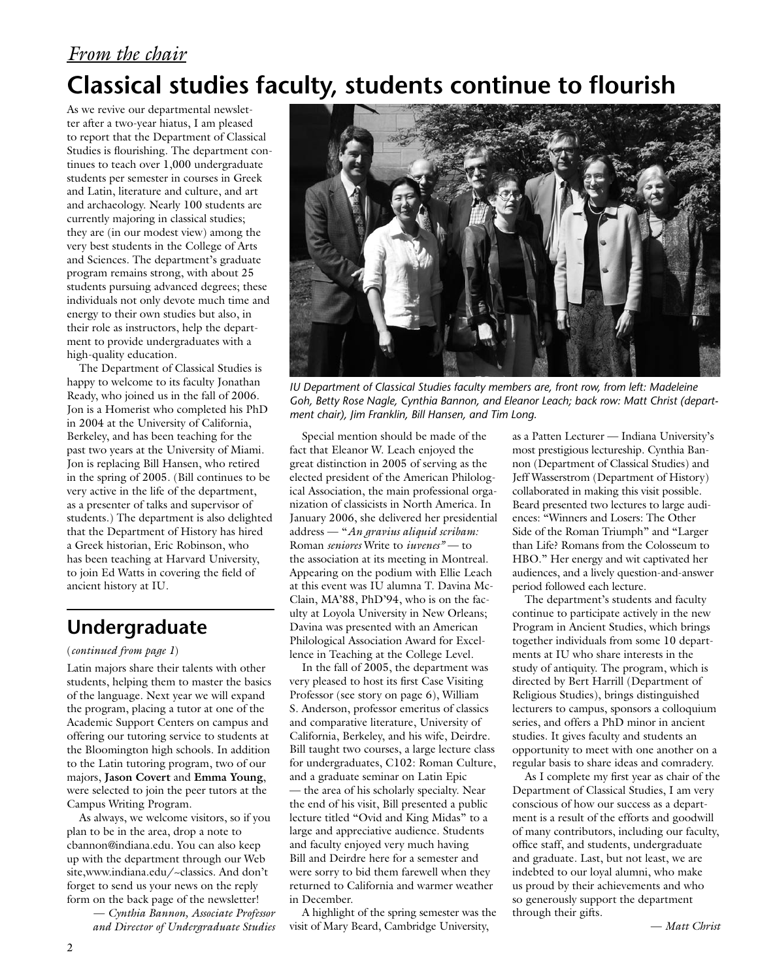# *From the chair* **Classical studies faculty, students continue to flourish**

As we revive our departmental newsletter after a two-year hiatus, I am pleased to report that the Department of Classical Studies is flourishing. The department continues to teach over 1,000 undergraduate students per semester in courses in Greek and Latin, literature and culture, and art and archaeology. Nearly 100 students are currently majoring in classical studies; they are (in our modest view) among the very best students in the College of Arts and Sciences. The department's graduate program remains strong, with about 25 students pursuing advanced degrees; these individuals not only devote much time and energy to their own studies but also, in their role as instructors, help the department to provide undergraduates with a high-quality education.

The Department of Classical Studies is happy to welcome to its faculty Jonathan Ready, who joined us in the fall of 2006. Jon is a Homerist who completed his PhD in 2004 at the University of California, Berkeley, and has been teaching for the past two years at the University of Miami. Jon is replacing Bill Hansen, who retired in the spring of 2005. (Bill continues to be very active in the life of the department, as a presenter of talks and supervisor of students.) The department is also delighted that the Department of History has hired a Greek historian, Eric Robinson, who has been teaching at Harvard University, to join Ed Watts in covering the field of ancient history at IU.

### **Undergraduate**

#### (*continued from page 1*)

Latin majors share their talents with other students, helping them to master the basics of the language. Next year we will expand the program, placing a tutor at one of the Academic Support Centers on campus and offering our tutoring service to students at the Bloomington high schools. In addition to the Latin tutoring program, two of our majors, **Jason Covert** and **Emma Young**, were selected to join the peer tutors at the Campus Writing Program.

As always, we welcome visitors, so if you plan to be in the area, drop a note to cbannon@indiana.edu. You can also keep up with the department through our Web site,www.indiana.edu/~classics. And don't forget to send us your news on the reply form on the back page of the newsletter!

> — *Cynthia Bannon, Associate Professor and Director of Undergraduate Studies*



*IU Department of Classical Studies faculty members are, front row, from left: Madeleine Goh, Betty Rose Nagle, Cynthia Bannon, and Eleanor Leach; back row: Matt Christ (department chair), Jim Franklin, Bill Hansen, and Tim Long.*

Special mention should be made of the fact that Eleanor W. Leach enjoyed the great distinction in 2005 of serving as the elected president of the American Philological Association, the main professional organization of classicists in North America. In January 2006, she delivered her presidential address — "*An gravius aliquid scribam:* Roman *seniores* Write to *iuvenes"* — to the association at its meeting in Montreal. Appearing on the podium with Ellie Leach at this event was IU alumna T. Davina Mc-Clain, MA'88, PhD'94, who is on the faculty at Loyola University in New Orleans; Davina was presented with an American Philological Association Award for Excellence in Teaching at the College Level.

In the fall of 2005, the department was very pleased to host its first Case Visiting Professor (see story on page 6), William S. Anderson, professor emeritus of classics and comparative literature, University of California, Berkeley, and his wife, Deirdre. Bill taught two courses, a large lecture class for undergraduates, C102: Roman Culture, and a graduate seminar on Latin Epic — the area of his scholarly specialty. Near the end of his visit, Bill presented a public lecture titled "Ovid and King Midas" to a large and appreciative audience. Students and faculty enjoyed very much having Bill and Deirdre here for a semester and were sorry to bid them farewell when they returned to California and warmer weather in December.

A highlight of the spring semester was the visit of Mary Beard, Cambridge University,

as a Patten Lecturer — Indiana University's most prestigious lectureship. Cynthia Bannon (Department of Classical Studies) and Jeff Wasserstrom (Department of History) collaborated in making this visit possible. Beard presented two lectures to large audiences: "Winners and Losers: The Other Side of the Roman Triumph" and "Larger than Life? Romans from the Colosseum to HBO." Her energy and wit captivated her audiences, and a lively question-and-answer period followed each lecture.

The department's students and faculty continue to participate actively in the new Program in Ancient Studies, which brings together individuals from some 10 departments at IU who share interests in the study of antiquity. The program, which is directed by Bert Harrill (Department of Religious Studies), brings distinguished lecturers to campus, sponsors a colloquium series, and offers a PhD minor in ancient studies. It gives faculty and students an opportunity to meet with one another on a regular basis to share ideas and comradery.

As I complete my first year as chair of the Department of Classical Studies, I am very conscious of how our success as a department is a result of the efforts and goodwill of many contributors, including our faculty, office staff, and students, undergraduate and graduate. Last, but not least, we are indebted to our loyal alumni, who make us proud by their achievements and who so generously support the department through their gifts.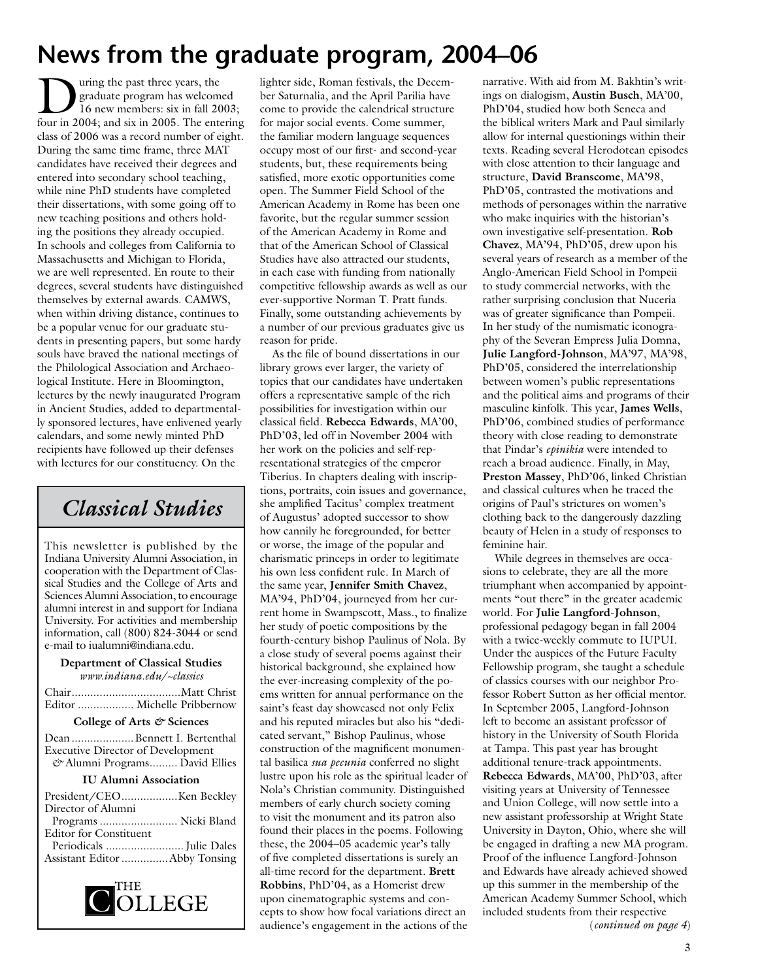# **News from the graduate program, 2004–06**

Using the past three years, the<br>graduate program has welcom<br>16 new members: six in fall 20<br>four in 2004; and six in 2005. The ents graduate program has welcomed 16 new members: six in fall 2003; four in 2004; and six in 2005. The entering class of 2006 was a record number of eight. During the same time frame, three MAT candidates have received their degrees and entered into secondary school teaching, while nine PhD students have completed their dissertations, with some going off to new teaching positions and others holding the positions they already occupied. In schools and colleges from California to Massachusetts and Michigan to Florida, we are well represented. En route to their degrees, several students have distinguished themselves by external awards. CAMWS, when within driving distance, continues to be a popular venue for our graduate students in presenting papers, but some hardy souls have braved the national meetings of the Philological Association and Archaeological Institute. Here in Bloomington, lectures by the newly inaugurated Program in Ancient Studies, added to departmentally sponsored lectures, have enlivened yearly calendars, and some newly minted PhD recipients have followed up their defenses with lectures for our constituency. On the

## *Classical Studies*

This newsletter is published by the Indiana University Alumni Association, in cooperation with the Department of Classical Studies and the College of Arts and Sciences Alumni Association, to encourage alumni interest in and support for Indiana University. For activities and membership information, call (800) 824-3044 or send e-mail to iualumni@indiana.edu.

#### **Department of Classical Studies** *www.indiana.edu/~classics*

| Editor  Michelle Pribbernow |
|-----------------------------|

#### **College of Arts** *&* **Sciences**

Dean....................Bennett I. Bertenthal Executive Director of Development *&* Alumni Programs......... David Ellies

#### **IU Alumni Association**

| Director of Alumni            |  |
|-------------------------------|--|
| Programs  Nicki Bland         |  |
| <b>Editor for Constituent</b> |  |
|                               |  |
| Assistant Editor Abby Tonsing |  |
|                               |  |



lighter side, Roman festivals, the December Saturnalia, and the April Parilia have come to provide the calendrical structure for major social events. Come summer, the familiar modern language sequences occupy most of our first- and second-year students, but, these requirements being satisfied, more exotic opportunities come open. The Summer Field School of the American Academy in Rome has been one favorite, but the regular summer session of the American Academy in Rome and that of the American School of Classical Studies have also attracted our students, in each case with funding from nationally competitive fellowship awards as well as our ever-supportive Norman T. Pratt funds. Finally, some outstanding achievements by a number of our previous graduates give us reason for pride.

As the file of bound dissertations in our library grows ever larger, the variety of topics that our candidates have undertaken offers a representative sample of the rich possibilities for investigation within our classical field. **Rebecca Edwards**, MA'00, PhD'03, led off in November 2004 with her work on the policies and self-representational strategies of the emperor Tiberius. In chapters dealing with inscriptions, portraits, coin issues and governance, she amplified Tacitus' complex treatment of Augustus' adopted successor to show how cannily he foregrounded, for better or worse, the image of the popular and charismatic princeps in order to legitimate his own less confident rule. In March of the same year, **Jennifer Smith Chavez**, MA'94, PhD'04, journeyed from her current home in Swampscott, Mass., to finalize her study of poetic compositions by the fourth-century bishop Paulinus of Nola. By a close study of several poems against their historical background, she explained how the ever-increasing complexity of the poems written for annual performance on the saint's feast day showcased not only Felix and his reputed miracles but also his "dedicated servant," Bishop Paulinus, whose construction of the magnificent monumental basilica *sua pecunia* conferred no slight lustre upon his role as the spiritual leader of Nola's Christian community. Distinguished members of early church society coming to visit the monument and its patron also found their places in the poems. Following these, the 2004–05 academic year's tally of five completed dissertations is surely an all-time record for the department. **Brett Robbins**, PhD'04, as a Homerist drew upon cinematographic systems and concepts to show how focal variations direct an audience's engagement in the actions of the

narrative. With aid from M. Bakhtin's writings on dialogism, **Austin Busch**, MA'00, PhD'04, studied how both Seneca and the biblical writers Mark and Paul similarly allow for internal questionings within their texts. Reading several Herodotean episodes with close attention to their language and structure, **David Branscome**, MA'98, PhD'05, contrasted the motivations and methods of personages within the narrative who make inquiries with the historian's own investigative self-presentation. **Rob Chavez**, MA'94, PhD'05, drew upon his several years of research as a member of the Anglo-American Field School in Pompeii to study commercial networks, with the rather surprising conclusion that Nuceria was of greater significance than Pompeii. In her study of the numismatic iconography of the Severan Empress Julia Domna, **Julie Langford-Johnson**, MA'97, MA'98, PhD'05, considered the interrelationship between women's public representations and the political aims and programs of their masculine kinfolk. This year, **James Wells**, PhD'06, combined studies of performance theory with close reading to demonstrate that Pindar's *epinikia* were intended to reach a broad audience. Finally, in May, **Preston Massey**, PhD'06, linked Christian and classical cultures when he traced the origins of Paul's strictures on women's clothing back to the dangerously dazzling beauty of Helen in a study of responses to feminine hair.

While degrees in themselves are occasions to celebrate, they are all the more triumphant when accompanied by appointments "out there" in the greater academic world. For **Julie Langford-Johnson**, professional pedagogy began in fall 2004 with a twice-weekly commute to IUPUI. Under the auspices of the Future Faculty Fellowship program, she taught a schedule of classics courses with our neighbor Professor Robert Sutton as her official mentor. In September 2005, Langford-Johnson left to become an assistant professor of history in the University of South Florida at Tampa. This past year has brought additional tenure-track appointments. **Rebecca Edwards**, MA'00, PhD'03, after visiting years at University of Tennessee and Union College, will now settle into a new assistant professorship at Wright State University in Dayton, Ohio, where she will be engaged in drafting a new MA program. Proof of the influence Langford-Johnson and Edwards have already achieved showed up this summer in the membership of the American Academy Summer School, which included students from their respective (*continued on page 4*)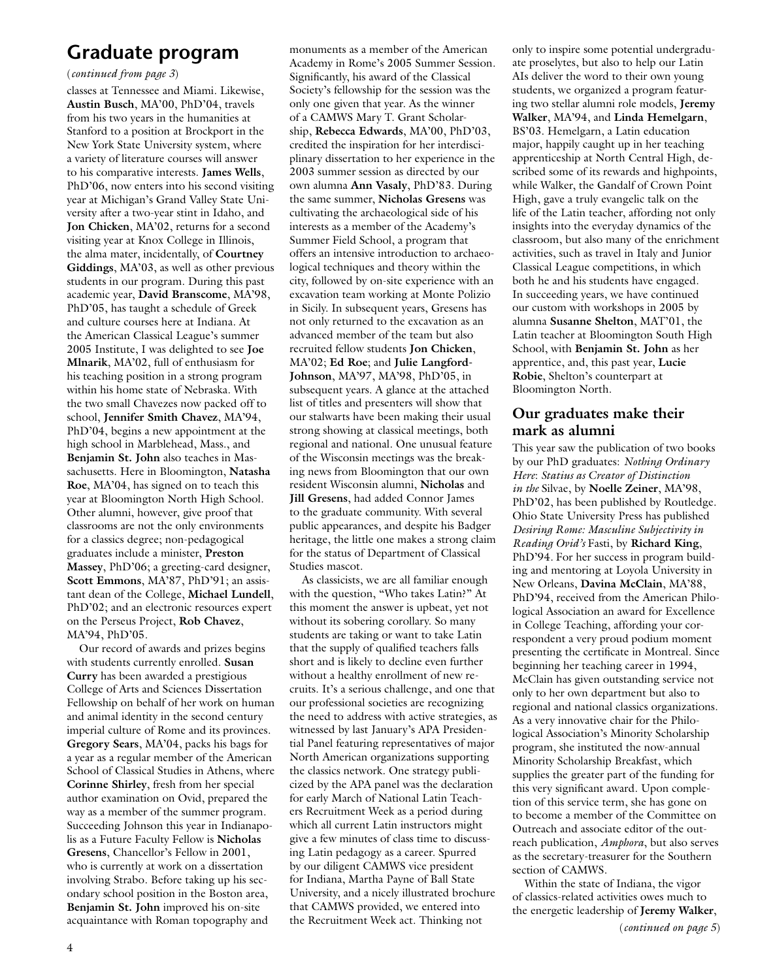### **Graduate program**

(*continued from page 3*)

classes at Tennessee and Miami. Likewise, **Austin Busch**, MA'00, PhD'04, travels from his two years in the humanities at Stanford to a position at Brockport in the New York State University system, where a variety of literature courses will answer to his comparative interests. **James Wells**, PhD'06, now enters into his second visiting year at Michigan's Grand Valley State University after a two-year stint in Idaho, and **Jon Chicken**, MA'02, returns for a second visiting year at Knox College in Illinois, the alma mater, incidentally, of **Courtney Giddings**, MA'03, as well as other previous students in our program. During this past academic year, **David Branscome**, MA'98, PhD'05, has taught a schedule of Greek and culture courses here at Indiana. At the American Classical League's summer 2005 Institute, I was delighted to see **Joe Mlnarik**, MA'02, full of enthusiasm for his teaching position in a strong program within his home state of Nebraska. With the two small Chavezes now packed off to school, **Jennifer Smith Chavez**, MA'94, PhD'04, begins a new appointment at the high school in Marblehead, Mass., and **Benjamin St. John** also teaches in Massachusetts. Here in Bloomington, **Natasha Roe**, MA'04, has signed on to teach this year at Bloomington North High School. Other alumni, however, give proof that classrooms are not the only environments for a classics degree; non-pedagogical graduates include a minister, **Preston Massey**, PhD'06; a greeting-card designer, **Scott Emmons**, MA'87, PhD'91; an assistant dean of the College, **Michael Lundell**, PhD'02; and an electronic resources expert on the Perseus Project, **Rob Chavez**, MA'94, PhD'05.

Our record of awards and prizes begins with students currently enrolled. **Susan Curry** has been awarded a prestigious College of Arts and Sciences Dissertation Fellowship on behalf of her work on human and animal identity in the second century imperial culture of Rome and its provinces. **Gregory Sears**, MA'04, packs his bags for a year as a regular member of the American School of Classical Studies in Athens, where **Corinne Shirley**, fresh from her special author examination on Ovid, prepared the way as a member of the summer program. Succeeding Johnson this year in Indianapolis as a Future Faculty Fellow is **Nicholas Gresens**, Chancellor's Fellow in 2001, who is currently at work on a dissertation involving Strabo. Before taking up his secondary school position in the Boston area, **Benjamin St. John** improved his on-site acquaintance with Roman topography and

monuments as a member of the American Academy in Rome's 2005 Summer Session. Significantly, his award of the Classical Society's fellowship for the session was the only one given that year. As the winner of a CAMWS Mary T. Grant Scholarship, **Rebecca Edwards**, MA'00, PhD'03, credited the inspiration for her interdisciplinary dissertation to her experience in the 2003 summer session as directed by our own alumna **Ann Vasaly**, PhD'83. During the same summer, **Nicholas Gresens** was cultivating the archaeological side of his interests as a member of the Academy's Summer Field School, a program that offers an intensive introduction to archaeological techniques and theory within the city, followed by on-site experience with an excavation team working at Monte Polizio in Sicily. In subsequent years, Gresens has not only returned to the excavation as an advanced member of the team but also recruited fellow students **Jon Chicken**, MA'02; **Ed Roe**; and **Julie Langford-Johnson**, MA'97, MA'98, PhD'05, in subsequent years. A glance at the attached list of titles and presenters will show that our stalwarts have been making their usual strong showing at classical meetings, both regional and national. One unusual feature of the Wisconsin meetings was the breaking news from Bloomington that our own resident Wisconsin alumni, **Nicholas** and **Jill Gresens**, had added Connor James to the graduate community. With several public appearances, and despite his Badger heritage, the little one makes a strong claim for the status of Department of Classical Studies mascot.

As classicists, we are all familiar enough with the question, "Who takes Latin?" At this moment the answer is upbeat, yet not without its sobering corollary. So many students are taking or want to take Latin that the supply of qualified teachers falls short and is likely to decline even further without a healthy enrollment of new recruits. It's a serious challenge, and one that our professional societies are recognizing the need to address with active strategies, as witnessed by last January's APA Presidential Panel featuring representatives of major North American organizations supporting the classics network. One strategy publicized by the APA panel was the declaration for early March of National Latin Teachers Recruitment Week as a period during which all current Latin instructors might give a few minutes of class time to discussing Latin pedagogy as a career. Spurred by our diligent CAMWS vice president for Indiana, Martha Payne of Ball State University, and a nicely illustrated brochure that CAMWS provided, we entered into the Recruitment Week act. Thinking not

only to inspire some potential undergraduate proselytes, but also to help our Latin AIs deliver the word to their own young students, we organized a program featuring two stellar alumni role models, **Jeremy Walker**, MA'94, and **Linda Hemelgarn**, BS'03. Hemelgarn, a Latin education major, happily caught up in her teaching apprenticeship at North Central High, described some of its rewards and highpoints, while Walker, the Gandalf of Crown Point High, gave a truly evangelic talk on the life of the Latin teacher, affording not only insights into the everyday dynamics of the classroom, but also many of the enrichment activities, such as travel in Italy and Junior Classical League competitions, in which both he and his students have engaged. In succeeding years, we have continued our custom with workshops in 2005 by alumna **Susanne Shelton**, MAT'01, the Latin teacher at Bloomington South High School, with **Benjamin St. John** as her apprentice, and, this past year, **Lucie Robie**, Shelton's counterpart at Bloomington North.

### **Our graduates make their mark as alumni**

This year saw the publication of two books by our PhD graduates: *Nothing Ordinary Here*: *Statius as Creator of Distinction in the* Silvae, by **Noelle Zeiner**, MA'98, PhD'02, has been published by Routledge. Ohio State University Press has published *Desiring Rome: Masculine Subjectivity in Reading Ovid's* Fasti, by **Richard King**, PhD'94. For her success in program building and mentoring at Loyola University in New Orleans, **Davina McClain**, MA'88, PhD'94, received from the American Philological Association an award for Excellence in College Teaching, affording your correspondent a very proud podium moment presenting the certificate in Montreal. Since beginning her teaching career in 1994, McClain has given outstanding service not only to her own department but also to regional and national classics organizations. As a very innovative chair for the Philological Association's Minority Scholarship program, she instituted the now-annual Minority Scholarship Breakfast, which supplies the greater part of the funding for this very significant award. Upon completion of this service term, she has gone on to become a member of the Committee on Outreach and associate editor of the outreach publication, *Amphora*, but also serves as the secretary-treasurer for the Southern section of CAMWS.

Within the state of Indiana, the vigor of classics-related activities owes much to the energetic leadership of **Jeremy Walker**,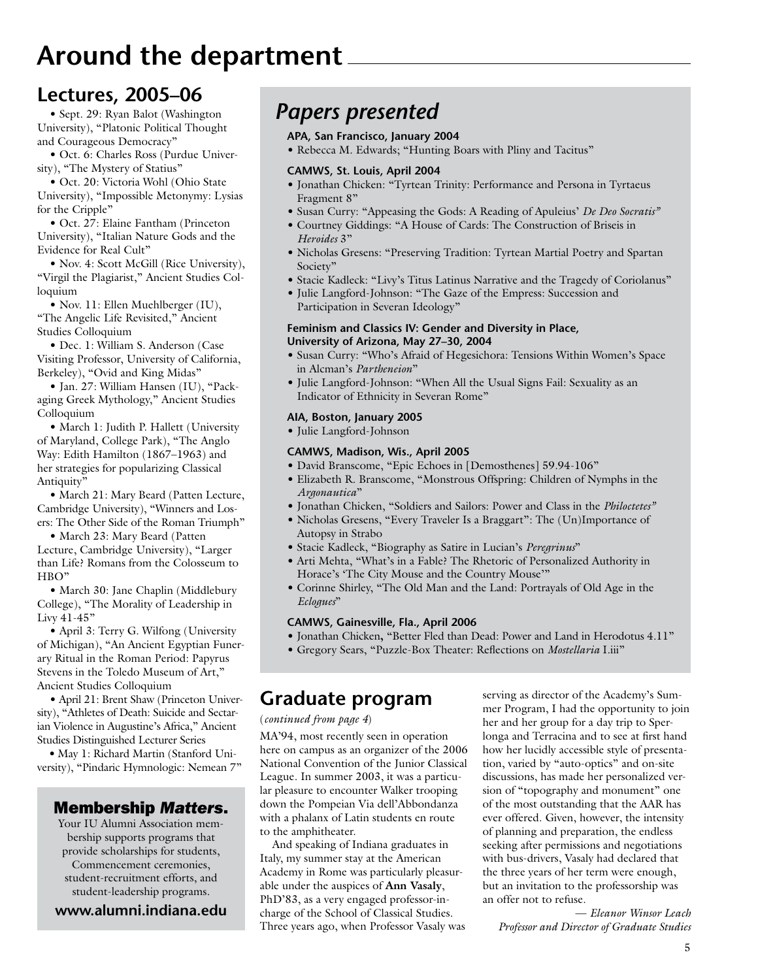# **Around the department**

### **Lectures, 2005–06**

• Sept. 29: Ryan Balot (Washington University), "Platonic Political Thought and Courageous Democracy"

• Oct. 6: Charles Ross (Purdue University), "The Mystery of Statius"

• Oct. 20: Victoria Wohl (Ohio State University), "Impossible Metonymy: Lysias for the Cripple"

• Oct. 27: Elaine Fantham (Princeton University), "Italian Nature Gods and the Evidence for Real Cult"

• Nov. 4: Scott McGill (Rice University), "Virgil the Plagiarist," Ancient Studies Colloquium

• Nov. 11: Ellen Muehlberger (IU), "The Angelic Life Revisited," Ancient Studies Colloquium

• Dec. 1: William S. Anderson (Case Visiting Professor, University of California, Berkeley), "Ovid and King Midas"

• Jan. 27: William Hansen (IU), "Packaging Greek Mythology," Ancient Studies Colloquium

• March 1: Judith P. Hallett (University of Maryland, College Park), "The Anglo Way: Edith Hamilton (1867–1963) and her strategies for popularizing Classical Antiquity"

• March 21: Mary Beard (Patten Lecture, Cambridge University), "Winners and Losers: The Other Side of the Roman Triumph"

• March 23: Mary Beard (Patten Lecture, Cambridge University), "Larger than Life? Romans from the Colosseum to HBO"

• March 30: Jane Chaplin (Middlebury College), "The Morality of Leadership in Livy 41-45"

• April 3: Terry G. Wilfong (University of Michigan), "An Ancient Egyptian Funerary Ritual in the Roman Period: Papyrus Stevens in the Toledo Museum of Art," Ancient Studies Colloquium

• April 21: Brent Shaw (Princeton University), "Athletes of Death: Suicide and Sectarian Violence in Augustine's Africa," Ancient Studies Distinguished Lecturer Series

**•** May 1: Richard Martin (Stanford University), "Pindaric Hymnologic: Nemean 7"

### Membership *Matters*.

Your IU Alumni Association membership supports programs that provide scholarships for students, Commencement ceremonies, student-recruitment efforts, and student-leadership programs.

**www.alumni.indiana.edu**

### *Papers presented*

#### **APA, San Francisco, January 2004**

• Rebecca M. Edwards; "Hunting Boars with Pliny and Tacitus"

#### **CAMWS, St. Louis, April 2004**

- Jonathan Chicken: "Tyrtean Trinity: Performance and Persona in Tyrtaeus Fragment 8"
- Susan Curry: "Appeasing the Gods: A Reading of Apuleius' *De Deo Socratis"*
- Courtney Giddings: "A House of Cards: The Construction of Briseis in *Heroides* 3"
- Nicholas Gresens: "Preserving Tradition: Tyrtean Martial Poetry and Spartan Society"
- Stacie Kadleck: "Livy's Titus Latinus Narrative and the Tragedy of Coriolanus"
- Julie Langford-Johnson: "The Gaze of the Empress: Succession and Participation in Severan Ideology"

#### **Feminism and Classics IV: Gender and Diversity in Place, University of Arizona, May 27–30, 2004**

- Susan Curry: "Who's Afraid of Hegesichora: Tensions Within Women's Space in Alcman's *Partheneion*"
- Julie Langford-Johnson: "When All the Usual Signs Fail: Sexuality as an Indicator of Ethnicity in Severan Rome"

### **AIA, Boston, January 2005**

• Julie Langford-Johnson

#### **CAMWS, Madison, Wis., April 2005**

- David Branscome, "Epic Echoes in [Demosthenes] 59.94-106"
- Elizabeth R. Branscome, "Monstrous Offspring: Children of Nymphs in the *Argonautica*"
- Jonathan Chicken, "Soldiers and Sailors: Power and Class in the *Philoctetes"*
- Nicholas Gresens, "Every Traveler Is a Braggart": The (Un)Importance of Autopsy in Strabo
- Stacie Kadleck, "Biography as Satire in Lucian's *Peregrinus*"
- Arti Mehta, "What's in a Fable? The Rhetoric of Personalized Authority in Horace's 'The City Mouse and the Country Mouse'"
- Corinne Shirley, "The Old Man and the Land: Portrayals of Old Age in the *Eclogues*"

#### **CAMWS, Gainesville, Fla., April 2006**

- Jonathan Chicken**,** "Better Fled than Dead: Power and Land in Herodotus 4.11"
- Gregory Sears, "Puzzle-Box Theater: Reflections on *Mostellaria* I.iii"

### **Graduate program**

#### (*continued from page 4*)

MA'94, most recently seen in operation here on campus as an organizer of the 2006 National Convention of the Junior Classical League. In summer 2003, it was a particular pleasure to encounter Walker trooping down the Pompeian Via dell'Abbondanza with a phalanx of Latin students en route to the amphitheater.

And speaking of Indiana graduates in Italy, my summer stay at the American Academy in Rome was particularly pleasurable under the auspices of **Ann Vasaly**, PhD'83, as a very engaged professor-incharge of the School of Classical Studies. Three years ago, when Professor Vasaly was serving as director of the Academy's Summer Program, I had the opportunity to join her and her group for a day trip to Sperlonga and Terracina and to see at first hand how her lucidly accessible style of presentation, varied by "auto-optics" and on-site discussions, has made her personalized version of "topography and monument" one of the most outstanding that the AAR has ever offered. Given, however, the intensity of planning and preparation, the endless seeking after permissions and negotiations with bus-drivers, Vasaly had declared that the three years of her term were enough, but an invitation to the professorship was an offer not to refuse.

— *Eleanor Winsor Leach Professor and Director of Graduate Studies*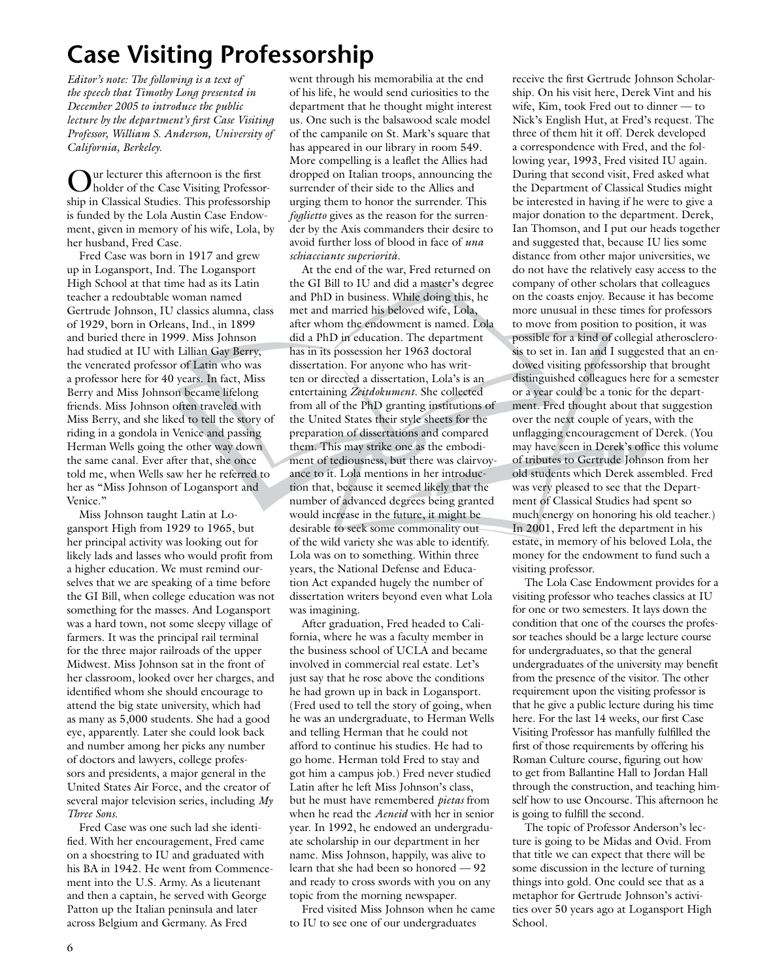# **Case Visiting Professorship**

*Editor's note: The following is a text of the speech that Timothy Long presented in December 2005 to introduce the public lecture by the department's first Case Visiting Professor, William S. Anderson, University of California, Berkeley.*

Our lecturer this afternoon is the first holder of the Case Visiting Professorship in Classical Studies. This professorship is funded by the Lola Austin Case Endowment, given in memory of his wife, Lola, by her husband, Fred Case.

Fred Case was born in 1917 and grew up in Logansport, Ind. The Logansport High School at that time had as its Latin teacher a redoubtable woman named Gertrude Johnson, IU classics alumna, class of 1929, born in Orleans, Ind., in 1899 and buried there in 1999. Miss Johnson had studied at IU with Lillian Gay Berry, the venerated professor of Latin who was a professor here for 40 years. In fact, Miss Berry and Miss Johnson became lifelong friends. Miss Johnson often traveled with Miss Berry, and she liked to tell the story of riding in a gondola in Venice and passing Herman Wells going the other way down the same canal. Ever after that, she once told me, when Wells saw her he referred to her as "Miss Johnson of Logansport and Venice."

Miss Johnson taught Latin at Logansport High from 1929 to 1965, but her principal activity was looking out for likely lads and lasses who would profit from a higher education. We must remind ourselves that we are speaking of a time before the GI Bill, when college education was not something for the masses. And Logansport was a hard town, not some sleepy village of farmers. It was the principal rail terminal for the three major railroads of the upper Midwest. Miss Johnson sat in the front of her classroom, looked over her charges, and identified whom she should encourage to attend the big state university, which had as many as 5,000 students. She had a good eye, apparently. Later she could look back and number among her picks any number of doctors and lawyers, college professors and presidents, a major general in the United States Air Force, and the creator of several major television series, including *My Three Sons*.

Fred Case was one such lad she identified. With her encouragement, Fred came on a shoestring to IU and graduated with his BA in 1942. He went from Commencement into the U.S. Army. As a lieutenant and then a captain, he served with George Patton up the Italian peninsula and later across Belgium and Germany. As Fred

went through his memorabilia at the end of his life, he would send curiosities to the department that he thought might interest us. One such is the balsawood scale model of the campanile on St. Mark's square that has appeared in our library in room 549. More compelling is a leaflet the Allies had dropped on Italian troops, announcing the surrender of their side to the Allies and urging them to honor the surrender. This *foglietto* gives as the reason for the surrender by the Axis commanders their desire to avoid further loss of blood in face of *una schiacciante superiorità*.

At the end of the war, Fred returned on the GI Bill to IU and did a master's degree and PhD in business. While doing this, he met and married his beloved wife, Lola, after whom the endowment is named. Lola did a PhD in education. The department has in its possession her 1963 doctoral dissertation. For anyone who has written or directed a dissertation, Lola's is an entertaining *Zeitdokument*. She collected from all of the PhD granting institutions of the United States their style sheets for the preparation of dissertations and compared them. This may strike one as the embodiment of tediousness, but there was clairvoyance to it. Lola mentions in her introduction that, because it seemed likely that the number of advanced degrees being granted would increase in the future, it might be desirable to seek some commonality out of the wild variety she was able to identify. Lola was on to something. Within three years, the National Defense and Education Act expanded hugely the number of dissertation writers beyond even what Lola was imagining.

After graduation, Fred headed to California, where he was a faculty member in the business school of UCLA and became involved in commercial real estate. Let's just say that he rose above the conditions he had grown up in back in Logansport. (Fred used to tell the story of going, when he was an undergraduate, to Herman Wells and telling Herman that he could not afford to continue his studies. He had to go home. Herman told Fred to stay and got him a campus job.) Fred never studied Latin after he left Miss Johnson's class, but he must have remembered *pietas* from when he read the *Aeneid* with her in senior year. In 1992, he endowed an undergraduate scholarship in our department in her name. Miss Johnson, happily, was alive to learn that she had been so honored — 92 and ready to cross swords with you on any topic from the morning newspaper.

Fred visited Miss Johnson when he came to IU to see one of our undergraduates

receive the first Gertrude Johnson Scholarship. On his visit here, Derek Vint and his wife, Kim, took Fred out to dinner — to Nick's English Hut, at Fred's request. The three of them hit it off. Derek developed a correspondence with Fred, and the following year, 1993, Fred visited IU again. During that second visit, Fred asked what the Department of Classical Studies might be interested in having if he were to give a major donation to the department. Derek, Ian Thomson, and I put our heads together and suggested that, because IU lies some distance from other major universities, we do not have the relatively easy access to the company of other scholars that colleagues on the coasts enjoy. Because it has become more unusual in these times for professors to move from position to position, it was

possible for a kind of collegial atherosclerosis to set in. Ian and I suggested that an endowed visiting professorship that brought distinguished colleagues here for a semester or a year could be a tonic for the department. Fred thought about that suggestion over the next couple of years, with the unflagging encouragement of Derek. (You may have seen in Derek's office this volume of tributes to Gertrude Johnson from her old students which Derek assembled. Fred was very pleased to see that the Department of Classical Studies had spent so much energy on honoring his old teacher.) In 2001, Fred left the department in his estate, in memory of his beloved Lola, the money for the endowment to fund such a visiting professor.

The Lola Case Endowment provides for a visiting professor who teaches classics at IU for one or two semesters. It lays down the condition that one of the courses the professor teaches should be a large lecture course for undergraduates, so that the general undergraduates of the university may benefit from the presence of the visitor. The other requirement upon the visiting professor is that he give a public lecture during his time here. For the last 14 weeks, our first Case Visiting Professor has manfully fulfilled the first of those requirements by offering his Roman Culture course, figuring out how to get from Ballantine Hall to Jordan Hall through the construction, and teaching himself how to use Oncourse. This afternoon he is going to fulfill the second.

The topic of Professor Anderson's lecture is going to be Midas and Ovid. From that title we can expect that there will be some discussion in the lecture of turning things into gold. One could see that as a metaphor for Gertrude Johnson's activities over 50 years ago at Logansport High School.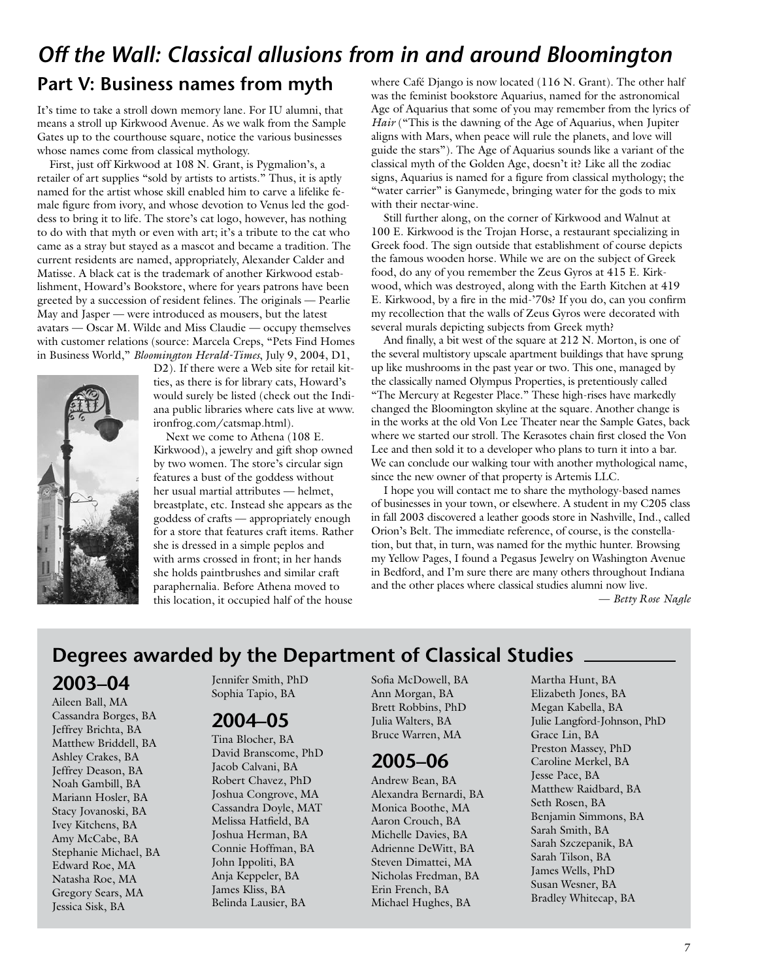### *Off the Wall: Classical allusions from in and around Bloomington* **Part V: Business names from myth**

It's time to take a stroll down memory lane. For IU alumni, that means a stroll up Kirkwood Avenue. As we walk from the Sample Gates up to the courthouse square, notice the various businesses

whose names come from classical mythology. First, just off Kirkwood at 108 N. Grant, is Pygmalion's, a retailer of art supplies "sold by artists to artists." Thus, it is aptly named for the artist whose skill enabled him to carve a lifelike female figure from ivory, and whose devotion to Venus led the goddess to bring it to life. The store's cat logo, however, has nothing to do with that myth or even with art; it's a tribute to the cat who came as a stray but stayed as a mascot and became a tradition. The current residents are named, appropriately, Alexander Calder and Matisse. A black cat is the trademark of another Kirkwood establishment, Howard's Bookstore, where for years patrons have been greeted by a succession of resident felines. The originals — Pearlie May and Jasper — were introduced as mousers, but the latest avatars — Oscar M. Wilde and Miss Claudie — occupy themselves with customer relations (source: Marcela Creps, "Pets Find Homes in Business World," *Bloomington Herald-Times*, July 9, 2004, D1,



D2). If there were a Web site for retail kitties, as there is for library cats, Howard's would surely be listed (check out the Indiana public libraries where cats live at www. ironfrog.com/catsmap.html).

Next we come to Athena (108 E. Kirkwood), a jewelry and gift shop owned by two women. The store's circular sign features a bust of the goddess without her usual martial attributes — helmet, breastplate, etc. Instead she appears as the goddess of crafts — appropriately enough for a store that features craft items. Rather she is dressed in a simple peplos and with arms crossed in front; in her hands she holds paintbrushes and similar craft paraphernalia. Before Athena moved to this location, it occupied half of the house

where Café Django is now located (116 N. Grant). The other half was the feminist bookstore Aquarius, named for the astronomical Age of Aquarius that some of you may remember from the lyrics of *Hair* ("This is the dawning of the Age of Aquarius, when Jupiter aligns with Mars, when peace will rule the planets, and love will guide the stars"). The Age of Aquarius sounds like a variant of the classical myth of the Golden Age, doesn't it? Like all the zodiac signs, Aquarius is named for a figure from classical mythology; the "water carrier" is Ganymede, bringing water for the gods to mix with their nectar-wine.

Still further along, on the corner of Kirkwood and Walnut at 100 E. Kirkwood is the Trojan Horse, a restaurant specializing in Greek food. The sign outside that establishment of course depicts the famous wooden horse. While we are on the subject of Greek food, do any of you remember the Zeus Gyros at 415 E. Kirkwood, which was destroyed, along with the Earth Kitchen at 419 E. Kirkwood, by a fire in the mid-'70s? If you do, can you confirm my recollection that the walls of Zeus Gyros were decorated with several murals depicting subjects from Greek myth?

And finally, a bit west of the square at 212 N. Morton, is one of the several multistory upscale apartment buildings that have sprung up like mushrooms in the past year or two. This one, managed by the classically named Olympus Properties, is pretentiously called "The Mercury at Regester Place." These high-rises have markedly changed the Bloomington skyline at the square. Another change is in the works at the old Von Lee Theater near the Sample Gates, back where we started our stroll. The Kerasotes chain first closed the Von Lee and then sold it to a developer who plans to turn it into a bar. We can conclude our walking tour with another mythological name, since the new owner of that property is Artemis LLC.

I hope you will contact me to share the mythology-based names of businesses in your town, or elsewhere. A student in my C205 class in fall 2003 discovered a leather goods store in Nashville, Ind., called Orion's Belt. The immediate reference, of course, is the constellation, but that, in turn, was named for the mythic hunter. Browsing my Yellow Pages, I found a Pegasus Jewelry on Washington Avenue in Bedford, and I'm sure there are many others throughout Indiana and the other places where classical studies alumni now live.

— *Betty Rose Nagle*

### **Degrees awarded by the Department of Classical Studies**

### **2003–04**

Aileen Ball, MA Cassandra Borges, BA Jeffrey Brichta, BA Matthew Briddell, BA Ashley Crakes, BA Jeffrey Deason, BA Noah Gambill, BA Mariann Hosler, BA Stacy Jovanoski, BA Ivey Kitchens, BA Amy McCabe, BA Stephanie Michael, BA Edward Roe, MA Natasha Roe, MA Gregory Sears, MA Jessica Sisk, BA

Jennifer Smith, PhD Sophia Tapio, BA

### **2004–05**

Tina Blocher, BA David Branscome, PhD Jacob Calvani, BA Robert Chavez, PhD Joshua Congrove, MA Cassandra Doyle, MAT Melissa Hatfield, BA Joshua Herman, BA Connie Hoffman, BA John Ippoliti, BA Anja Keppeler, BA James Kliss, BA Belinda Lausier, BA

Sofia McDowell, BA Ann Morgan, BA Brett Robbins, PhD Julia Walters, BA Bruce Warren, MA

### **2005–06**

Andrew Bean, BA Alexandra Bernardi, BA Monica Boothe, MA Aaron Crouch, BA Michelle Davies, BA Adrienne DeWitt, BA Steven Dimattei, MA Nicholas Fredman, BA Erin French, BA Michael Hughes, BA

Martha Hunt, BA Elizabeth Jones, BA Megan Kabella, BA Julie Langford-Johnson, PhD Grace Lin, BA Preston Massey, PhD Caroline Merkel, BA Jesse Pace, BA Matthew Raidbard, BA Seth Rosen, BA Benjamin Simmons, BA Sarah Smith, BA Sarah Szczepanik, BA Sarah Tilson, BA James Wells, PhD Susan Wesner, BA Bradley Whitecap, BA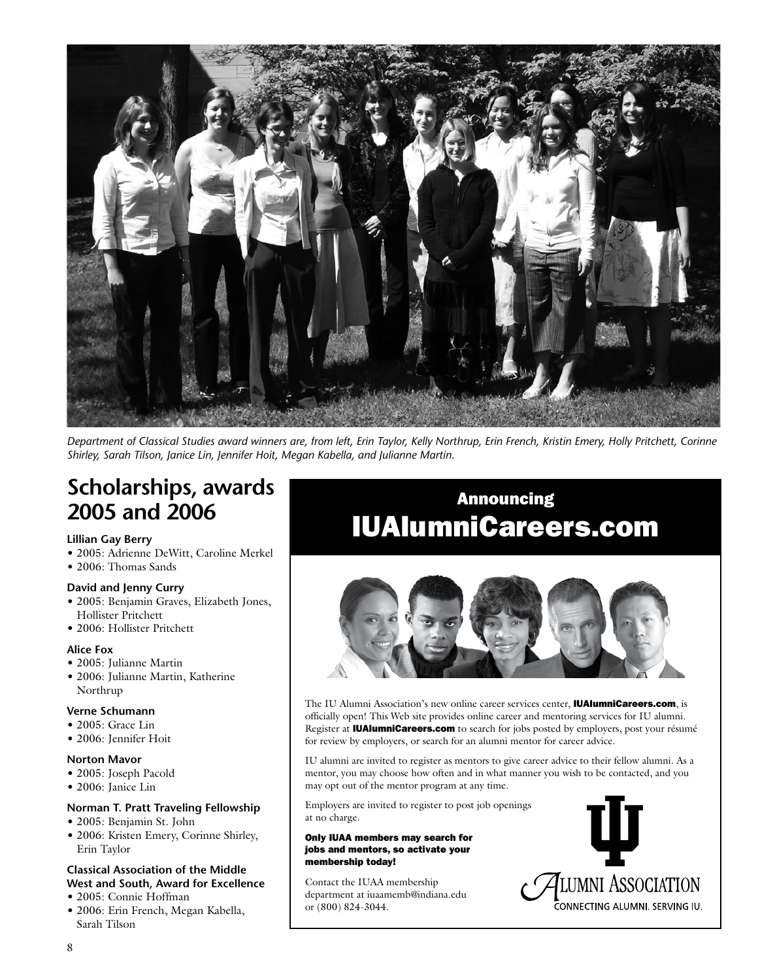

*Department of Classical Studies award winners are, from left, Erin Taylor, Kelly Northrup, Erin French, Kristin Emery, Holly Pritchett, Corinne Shirley, Sarah Tilson, Janice Lin, Jennifer Hoit, Megan Kabella, and Julianne Martin.*

### **Scholarships, awards 2005 and 2006**

#### **Lillian Gay Berry**

- 2005: Adrienne DeWitt, Caroline Merkel
- 2006: Thomas Sands

#### **David and Jenny Curry**

- 2005: Benjamin Graves, Elizabeth Jones, Hollister Pritchett
- 2006: Hollister Pritchett

#### **Alice Fox**

- 2005: Julianne Martin
- 2006: Julianne Martin, Katherine Northrup

#### **Verne Schumann**

- 2005: Grace Lin
- 2006: Jennifer Hoit

#### **Norton Mavor**

- 2005: Joseph Pacold
- 2006: Janice Lin

#### **Norman T. Pratt Traveling Fellowship**

- 2005: Benjamin St. John
- 2006: Kristen Emery, Corinne Shirley, Erin Taylor

### **Classical Association of the Middle West and South, Award for Excellence**

- 2005: Connie Hoffman
- 2006: Erin French, Megan Kabella, Sarah Tilson

# Announcing IUAlumniCareers.com



The IU Alumni Association's new online career services center, **IUAlumniCareers.com**, is officially open! This Web site provides online career and mentoring services for IU alumni. Register at **IUAlumniCareers.com** to search for jobs posted by employers, post your résumé for review by employers, or search for an alumni mentor for career advice.

IU alumni are invited to register as mentors to give career advice to their fellow alumni. As a mentor, you may choose how often and in what manner you wish to be contacted, and you may opt out of the mentor program at any time.

Employers are invited to register to post job openings at no charge.

#### Only IUAA members may search for jobs and mentors, so activate your membership today!

Contact the IUAA membership department at iuaamemb@indiana.edu or (800) 824-3044.

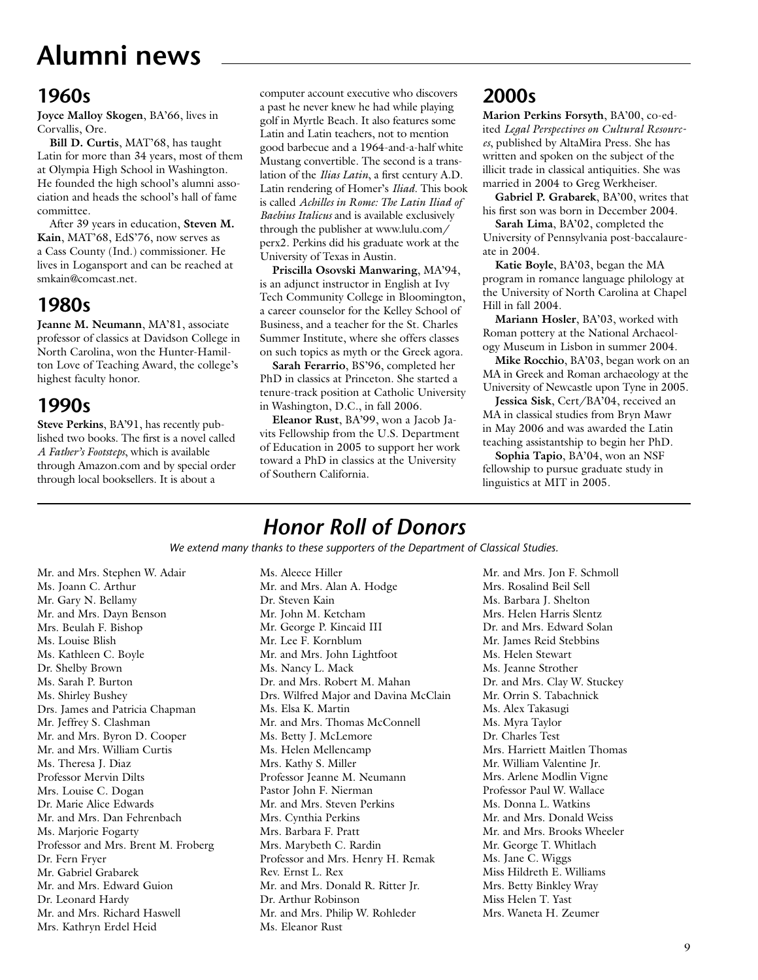# **Alumni news**

### **1960s**

**Joyce Malloy Skogen**, BA'66, lives in Corvallis, Ore.

**Bill D. Curtis**, MAT'68, has taught Latin for more than 34 years, most of them at Olympia High School in Washington. He founded the high school's alumni association and heads the school's hall of fame committee.

After 39 years in education, **Steven M. Kain**, MAT'68, EdS'76, now serves as a Cass County (Ind.) commissioner. He lives in Logansport and can be reached at smkain@comcast.net.

### **1980s**

**Jeanne M. Neumann**, MA'81, associate professor of classics at Davidson College in North Carolina, won the Hunter-Hamilton Love of Teaching Award, the college's highest faculty honor.

### **1990s**

**Steve Perkins**, BA'91, has recently published two books. The first is a novel called *A Father's Footsteps*, which is available through Amazon.com and by special order through local booksellers. It is about a

computer account executive who discovers a past he never knew he had while playing golf in Myrtle Beach. It also features some Latin and Latin teachers, not to mention good barbecue and a 1964-and-a-half white Mustang convertible. The second is a translation of the *Ilias Latin*, a first century A.D. Latin rendering of Homer's *Iliad*. This book is called *Achilles in Rome: The Latin Iliad of Baebius Italicus* and is available exclusively through the publisher at www.lulu.com/ perx2. Perkins did his graduate work at the University of Texas in Austin.

**Priscilla Osovski Manwaring**, MA'94, is an adjunct instructor in English at Ivy Tech Community College in Bloomington, a career counselor for the Kelley School of Business, and a teacher for the St. Charles Summer Institute, where she offers classes on such topics as myth or the Greek agora.

**Sarah Ferarrio**, BS'96, completed her PhD in classics at Princeton. She started a tenure-track position at Catholic University in Washington, D.C., in fall 2006.

**Eleanor Rust**, BA'99, won a Jacob Javits Fellowship from the U.S. Department of Education in 2005 to support her work toward a PhD in classics at the University of Southern California.

### **2000s**

**Marion Perkins Forsyth**, BA'00, co-edited *Legal Perspectives on Cultural Resources*, published by AltaMira Press. She has written and spoken on the subject of the illicit trade in classical antiquities. She was married in 2004 to Greg Werkheiser.

**Gabriel P. Grabarek**, BA'00, writes that his first son was born in December 2004.

**Sarah Lima**, BA'02, completed the University of Pennsylvania post-baccalaureate in 2004.

**Katie Boyle**, BA'03, began the MA program in romance language philology at the University of North Carolina at Chapel Hill in fall 2004.

**Mariann Hosler**, BA'03, worked with Roman pottery at the National Archaeology Museum in Lisbon in summer 2004.

**Mike Rocchio**, BA'03, began work on an MA in Greek and Roman archaeology at the University of Newcastle upon Tyne in 2005.

**Jessica Sisk**, Cert/BA'04, received an MA in classical studies from Bryn Mawr in May 2006 and was awarded the Latin teaching assistantship to begin her PhD.

**Sophia Tapio**, BA'04, won an NSF fellowship to pursue graduate study in linguistics at MIT in 2005.

### *Honor Roll of Donors*

*We extend many thanks to these supporters of the Department of Classical Studies.*

Mr. and Mrs. Stephen W. Adair Ms. Joann C. Arthur Mr. Gary N. Bellamy Mr. and Mrs. Dayn Benson Mrs. Beulah F. Bishop Ms. Louise Blish Ms. Kathleen C. Boyle Dr. Shelby Brown Ms. Sarah P. Burton Ms. Shirley Bushey Drs. James and Patricia Chapman Mr. Jeffrey S. Clashman Mr. and Mrs. Byron D. Cooper Mr. and Mrs. William Curtis Ms. Theresa J. Diaz Professor Mervin Dilts Mrs. Louise C. Dogan Dr. Marie Alice Edwards Mr. and Mrs. Dan Fehrenbach Ms. Marjorie Fogarty Professor and Mrs. Brent M. Froberg Dr. Fern Fryer Mr. Gabriel Grabarek Mr. and Mrs. Edward Guion Dr. Leonard Hardy Mr. and Mrs. Richard Haswell Mrs. Kathryn Erdel Heid

Ms. Aleece Hiller Mr. and Mrs. Alan A. Hodge Dr. Steven Kain Mr. John M. Ketcham Mr. George P. Kincaid III Mr. Lee F. Kornblum Mr. and Mrs. John Lightfoot Ms. Nancy L. Mack Dr. and Mrs. Robert M. Mahan Drs. Wilfred Major and Davina McClain Ms. Elsa K. Martin Mr. and Mrs. Thomas McConnell Ms. Betty J. McLemore Ms. Helen Mellencamp Mrs. Kathy S. Miller Professor Jeanne M. Neumann Pastor John F. Nierman Mr. and Mrs. Steven Perkins Mrs. Cynthia Perkins Mrs. Barbara F. Pratt Mrs. Marybeth C. Rardin Professor and Mrs. Henry H. Remak Rev. Ernst L. Rex Mr. and Mrs. Donald R. Ritter Jr. Dr. Arthur Robinson Mr. and Mrs. Philip W. Rohleder Ms. Eleanor Rust

Mr. and Mrs. Jon F. Schmoll Mrs. Rosalind Beil Sell Ms. Barbara J. Shelton Mrs. Helen Harris Slentz Dr. and Mrs. Edward Solan Mr. James Reid Stebbins Ms. Helen Stewart Ms. Jeanne Strother Dr. and Mrs. Clay W. Stuckey Mr. Orrin S. Tabachnick Ms. Alex Takasugi Ms. Myra Taylor Dr. Charles Test Mrs. Harriett Maitlen Thomas Mr. William Valentine Jr. Mrs. Arlene Modlin Vigne Professor Paul W. Wallace Ms. Donna L. Watkins Mr. and Mrs. Donald Weiss Mr. and Mrs. Brooks Wheeler Mr. George T. Whitlach Ms. Jane C. Wiggs Miss Hildreth E. Williams Mrs. Betty Binkley Wray Miss Helen T. Yast Mrs. Waneta H. Zeumer